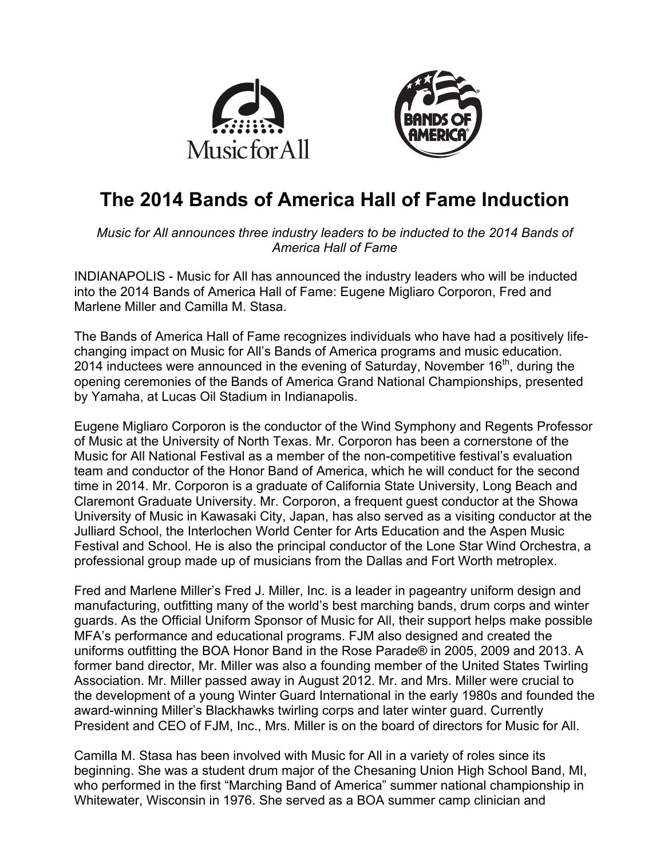



# **The 2014 Bands of America Hall of Fame Induction**

*Music for All announces three industry leaders to be inducted to the 2014 Bands of America Hall of Fame*

INDIANAPOLIS - Music for All has announced the industry leaders who will be inducted into the 2014 Bands of America Hall of Fame: Eugene Migliaro Corporon, Fred and Marlene Miller and Camilla M. Stasa.

The Bands of America Hall of Fame recognizes individuals who have had a positively lifechanging impact on Music for All's Bands of America programs and music education. 2014 inductees were announced in the evening of Saturday, November  $16<sup>th</sup>$ , during the opening ceremonies of the Bands of America Grand National Championships, presented by Yamaha, at Lucas Oil Stadium in Indianapolis.

Eugene Migliaro Corporon is the conductor of the Wind Symphony and Regents Professor of Music at the University of North Texas. Mr. Corporon has been a cornerstone of the Music for All National Festival as a member of the non-competitive festival's evaluation team and conductor of the Honor Band of America, which he will conduct for the second time in 2014. Mr. Corporon is a graduate of California State University, Long Beach and Claremont Graduate University. Mr. Corporon, a frequent guest conductor at the Showa University of Music in Kawasaki City, Japan, has also served as a visiting conductor at the Julliard School, the Interlochen World Center for Arts Education and the Aspen Music Festival and School. He is also the principal conductor of the Lone Star Wind Orchestra, a professional group made up of musicians from the Dallas and Fort Worth metroplex.

Fred and Marlene Miller's Fred J. Miller, Inc. is a leader in pageantry uniform design and manufacturing, outfitting many of the world's best marching bands, drum corps and winter guards. As the Official Uniform Sponsor of Music for All, their support helps make possible MFA's performance and educational programs. FJM also designed and created the uniforms outfitting the BOA Honor Band in the Rose Parade® in 2005, 2009 and 2013. A former band director, Mr. Miller was also a founding member of the United States Twirling Association. Mr. Miller passed away in August 2012. Mr. and Mrs. Miller were crucial to the development of a young Winter Guard International in the early 1980s and founded the award-winning Miller's Blackhawks twirling corps and later winter guard. Currently President and CEO of FJM, Inc., Mrs. Miller is on the board of directors for Music for All.

Camilla M. Stasa has been involved with Music for All in a variety of roles since its beginning. She was a student drum major of the Chesaning Union High School Band, MI, who performed in the first "Marching Band of America" summer national championship in Whitewater, Wisconsin in 1976. She served as a BOA summer camp clinician and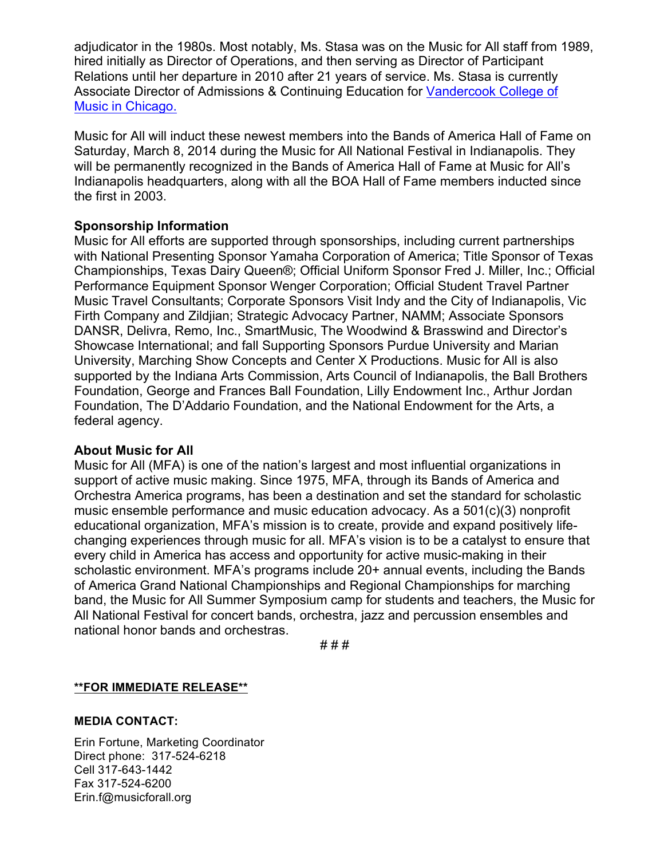adjudicator in the 1980s. Most notably, Ms. Stasa was on the Music for All staff from 1989, hired initially as Director of Operations, and then serving as Director of Participant Relations until her departure in 2010 after 21 years of service. Ms. Stasa is currently Associate Director of Admissions & Continuing Education for Vandercook College of Music in Chicago.

Music for All will induct these newest members into the Bands of America Hall of Fame on Saturday, March 8, 2014 during the Music for All National Festival in Indianapolis. They will be permanently recognized in the Bands of America Hall of Fame at Music for All's Indianapolis headquarters, along with all the BOA Hall of Fame members inducted since the first in 2003.

#### **Sponsorship Information**

Music for All efforts are supported through sponsorships, including current partnerships with National Presenting Sponsor Yamaha Corporation of America; Title Sponsor of Texas Championships, Texas Dairy Queen®; Official Uniform Sponsor Fred J. Miller, Inc.; Official Performance Equipment Sponsor Wenger Corporation; Official Student Travel Partner Music Travel Consultants; Corporate Sponsors Visit Indy and the City of Indianapolis, Vic Firth Company and Zildjian; Strategic Advocacy Partner, NAMM; Associate Sponsors DANSR, Delivra, Remo, Inc., SmartMusic, The Woodwind & Brasswind and Director's Showcase International; and fall Supporting Sponsors Purdue University and Marian University, Marching Show Concepts and Center X Productions. Music for All is also supported by the Indiana Arts Commission, Arts Council of Indianapolis, the Ball Brothers Foundation, George and Frances Ball Foundation, Lilly Endowment Inc., Arthur Jordan Foundation, The D'Addario Foundation, and the National Endowment for the Arts, a federal agency.

#### **About Music for All**

Music for All (MFA) is one of the nation's largest and most influential organizations in support of active music making. Since 1975, MFA, through its Bands of America and Orchestra America programs, has been a destination and set the standard for scholastic music ensemble performance and music education advocacy. As a 501(c)(3) nonprofit educational organization, MFA's mission is to create, provide and expand positively lifechanging experiences through music for all. MFA's vision is to be a catalyst to ensure that every child in America has access and opportunity for active music-making in their scholastic environment. MFA's programs include 20+ annual events, including the Bands of America Grand National Championships and Regional Championships for marching band, the Music for All Summer Symposium camp for students and teachers, the Music for All National Festival for concert bands, orchestra, jazz and percussion ensembles and national honor bands and orchestras.

# # #

#### **\*\*FOR IMMEDIATE RELEASE\*\***

#### **MEDIA CONTACT:**

Erin Fortune, Marketing Coordinator Direct phone: 317-524-6218 Cell 317-643-1442 Fax 317-524-6200 Erin.f@musicforall.org